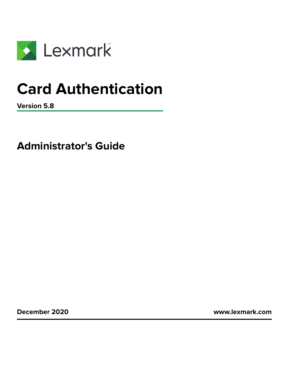

# **Card Authentication**

**Version 5.8**

**Administrator's Guide**

**December 2020 [www.lexmark.com](http://www.lexmark.com)**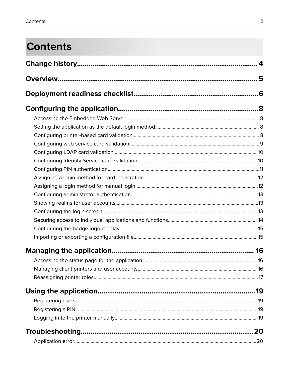# **Contents**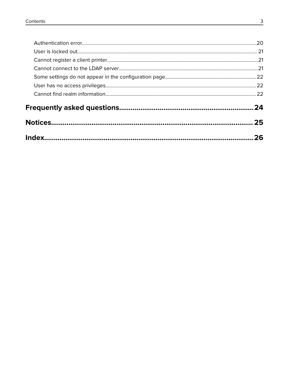| 26  |
|-----|
| 25  |
| .24 |
|     |
|     |
|     |
|     |
|     |
|     |
|     |
|     |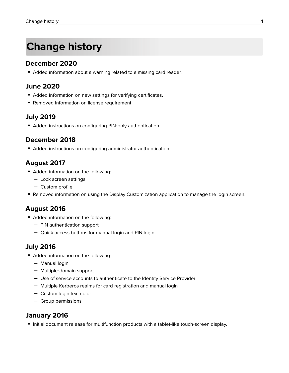# <span id="page-3-0"></span>**Change history**

### **December 2020**

**•** Added information about a warning related to a missing card reader.

### **June 2020**

- **•** Added information on new settings for verifying certificates.
- **•** Removed information on license requirement.

### **July 2019**

**•** Added instructions on configuring PIN‑only authentication.

### **December 2018**

**•** Added instructions on configuring administrator authentication.

### **August 2017**

- **•** Added information on the following:
	- **–** Lock screen settings
	- **–** Custom profile
- **•** Removed information on using the Display Customization application to manage the login screen.

### **August 2016**

- **•** Added information on the following:
	- **–** PIN authentication support
	- **–** Quick access buttons for manual login and PIN login

### **July 2016**

- **•** Added information on the following:
	- **–** Manual login
	- **–** Multiple‑domain support
	- **–** Use of service accounts to authenticate to the Identity Service Provider
	- **–** Multiple Kerberos realms for card registration and manual login
	- **–** Custom login text color
	- **–** Group permissions

### **January 2016**

• Initial document release for multifunction products with a tablet-like touch-screen display.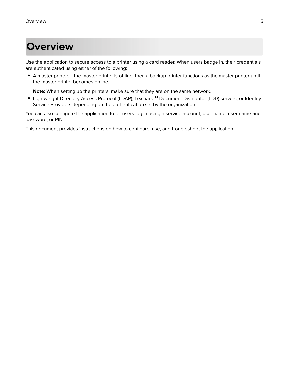# <span id="page-4-0"></span>**Overview**

Use the application to secure access to a printer using a card reader. When users badge in, their credentials are authenticated using either of the following:

**•** A master printer. If the master printer is offline, then a backup printer functions as the master printer until the master printer becomes online.

**Note:** When setting up the printers, make sure that they are on the same network.

**•** Lightweight Directory Access Protocol (LDAP), LexmarkTM Document Distributor (LDD) servers, or Identity Service Providers depending on the authentication set by the organization.

You can also configure the application to let users log in using a service account, user name, user name and password, or PIN.

This document provides instructions on how to configure, use, and troubleshoot the application.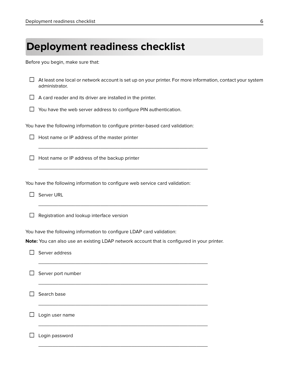<span id="page-5-0"></span>

| <b>Deployment readiness checklist</b> |  |  |
|---------------------------------------|--|--|
|---------------------------------------|--|--|

Before you begin, make sure that:

|        | At least one local or network account is set up on your printer. For more information, contact your system<br>administrator. |  |
|--------|------------------------------------------------------------------------------------------------------------------------------|--|
|        | A card reader and its driver are installed in the printer.                                                                   |  |
|        | You have the web server address to configure PIN authentication.                                                             |  |
|        | You have the following information to configure printer-based card validation:                                               |  |
| $\Box$ | Host name or IP address of the master printer                                                                                |  |
|        | Host name or IP address of the backup printer                                                                                |  |
|        | You have the following information to configure web service card validation:                                                 |  |
|        | Server URL                                                                                                                   |  |
| ப      | Registration and lookup interface version                                                                                    |  |
|        | You have the following information to configure LDAP card validation:                                                        |  |
|        | Note: You can also use an existing LDAP network account that is configured in your printer.                                  |  |
|        | Server address                                                                                                               |  |
|        | Server port number                                                                                                           |  |
|        | Search base                                                                                                                  |  |
|        | Login user name                                                                                                              |  |
|        | Login password                                                                                                               |  |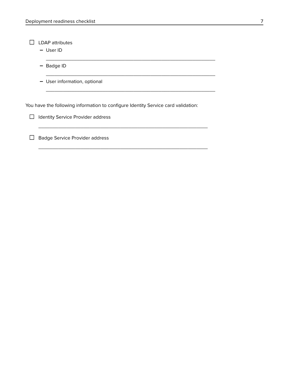$\Box$  LDAP attributes

**–** User ID

**–** Badge ID

**–** User information, optional

You have the following information to configure Identity Service card validation:

\_\_\_\_\_\_\_\_\_\_\_\_\_\_\_\_\_\_\_\_\_\_\_\_\_\_\_\_\_\_\_\_\_\_\_\_\_\_\_\_\_\_\_\_\_\_\_\_\_\_\_\_\_\_\_\_\_\_\_\_

\_\_\_\_\_\_\_\_\_\_\_\_\_\_\_\_\_\_\_\_\_\_\_\_\_\_\_\_\_\_\_\_\_\_\_\_\_\_\_\_\_\_\_\_\_\_\_\_\_\_\_\_\_\_\_\_\_\_\_\_

\_\_\_\_\_\_\_\_\_\_\_\_\_\_\_\_\_\_\_\_\_\_\_\_\_\_\_\_\_\_\_\_\_\_\_\_\_\_\_\_\_\_\_\_\_\_\_\_\_\_\_\_\_\_\_\_\_\_\_\_

\_\_\_\_\_\_\_\_\_\_\_\_\_\_\_\_\_\_\_\_\_\_\_\_\_\_\_\_\_\_\_\_\_\_\_\_\_\_\_\_\_\_\_\_\_\_\_\_\_\_\_\_\_\_\_\_\_\_\_\_

\_\_\_\_\_\_\_\_\_\_\_\_\_\_\_\_\_\_\_\_\_\_\_\_\_\_\_\_\_\_\_\_\_\_\_\_\_\_\_\_\_\_\_\_\_\_\_\_\_\_\_\_\_\_\_\_\_\_\_\_

 $\Box$  Identity Service Provider address

□ Badge Service Provider address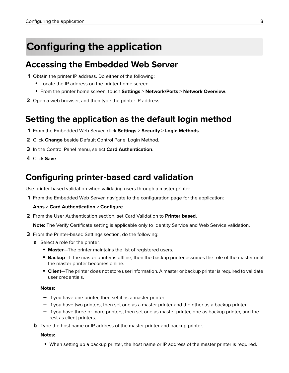# <span id="page-7-0"></span>**Configuring the application**

## **Accessing the Embedded Web Server**

- **1** Obtain the printer IP address. Do either of the following:
	- **•** Locate the IP address on the printer home screen.
	- **•** From the printer home screen, touch **Settings** > **Network/Ports** > **Network Overview**.
- **2** Open a web browser, and then type the printer IP address.

## **Setting the application as the default login method**

- **1** From the Embedded Web Server, click **Settings** > **Security** > **Login Methods**.
- **2** Click **Change** beside Default Control Panel Login Method.
- **3** In the Control Panel menu, select **Card Authentication**.
- **4** Click **Save**.

# **Configuring printer**‑**based card validation**

Use printer-based validation when validating users through a master printer.

**1** From the Embedded Web Server, navigate to the configuration page for the application:

#### **Apps** > **Card Authentication** > **Configure**

**2** From the User Authentication section, set Card Validation to **Printer**‑**based**.

**Note:** The Verify Certificate setting is applicable only to Identity Service and Web Service validation.

- **3** From the Printer-based Settings section, do the following:
	- **a** Select a role for the printer.
		- **• Master**—The printer maintains the list of registered users.
		- **• Backup**—If the master printer is offline, then the backup printer assumes the role of the master until the master printer becomes online.
		- **• Client**—The printer does not store user information. A master or backup printer is required to validate user credentials.

#### **Notes:**

- **–** If you have one printer, then set it as a master printer.
- **–** If you have two printers, then set one as a master printer and the other as a backup printer.
- **–** If you have three or more printers, then set one as master printer, one as backup printer, and the rest as client printers.
- **b** Type the host name or IP address of the master printer and backup printer.

#### **Notes:**

**•** When setting up a backup printer, the host name or IP address of the master printer is required.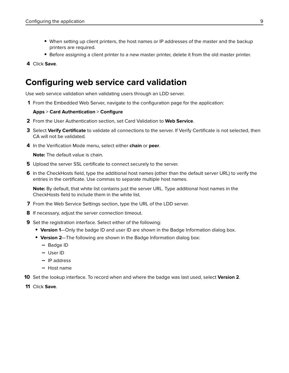- <span id="page-8-0"></span>**•** When setting up client printers, the host names or IP addresses of the master and the backup printers are required.
- **•** Before assigning a client printer to a new master printer, delete it from the old master printer.
- **4** Click **Save**.

### **Configuring web service card validation**

Use web service validation when validating users through an LDD server.

**1** From the Embedded Web Server, navigate to the configuration page for the application:

#### **Apps** > **Card Authentication** > **Configure**

- **2** From the User Authentication section, set Card Validation to **Web Service**.
- **3** Select **Verify Certificate** to validate all connections to the server. If Verify Certificate is not selected, then CA will not be validated.
- **4** In the Verification Mode menu, select either **chain** or **peer**.

**Note:** The default value is chain.

- **5** Upload the server SSL certificate to connect securely to the server.
- **6** In the CheckHosts field, type the additional host names (other than the default server URL) to verify the entries in the certificate. Use commas to separate multiple host names.

**Note:** By default, that white list contains just the server URL. Type additional host names in the CheckHosts field to include them in the white list.

- **7** From the Web Service Settings section, type the URL of the LDD server.
- **8** If necessary, adjust the server connection timeout.
- **9** Set the registration interface. Select either of the following:
	- **• Version 1**—Only the badge ID and user ID are shown in the Badge Information dialog box.
	- **• Version 2**—The following are shown in the Badge Information dialog box:
		- **–** Badge ID
		- **–** User ID
		- **–** IP address
		- **–** Host name
- **10** Set the lookup interface. To record when and where the badge was last used, select **Version 2**.
- **11** Click **Save**.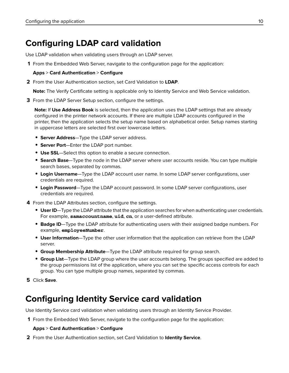# <span id="page-9-0"></span>**Configuring LDAP card validation**

Use LDAP validation when validating users through an LDAP server.

**1** From the Embedded Web Server, navigate to the configuration page for the application:

### **Apps** > **Card Authentication** > **Configure**

**2** From the User Authentication section, set Card Validation to **LDAP**.

**Note:** The Verify Certificate setting is applicable only to Identity Service and Web Service validation.

**3** From the LDAP Server Setup section, configure the settings.

**Note:** If **Use Address Book** is selected, then the application uses the LDAP settings that are already configured in the printer network accounts. If there are multiple LDAP accounts configured in the printer, then the application selects the setup name based on alphabetical order. Setup names starting in uppercase letters are selected first over lowercase letters.

- **• Server Address**—Type the LDAP server address.
- **• Server Port**—Enter the LDAP port number.
- **• Use SSL**—Select this option to enable a secure connection.
- **• Search Base**—Type the node in the LDAP server where user accounts reside. You can type multiple search bases, separated by commas.
- **• Login Username**—Type the LDAP account user name. In some LDAP server configurations, user credentials are required.
- **• Login Password**—Type the LDAP account password. In some LDAP server configurations, user credentials are required.
- **4** From the LDAP Attributes section, configure the settings.
	- **• User ID**—Type the LDAP attribute that the application searches for when authenticating user credentials. For example, **samaccountname**, **uid**, cn, or a user-defined attribute.
	- **• Badge ID**—Type the LDAP attribute for authenticating users with their assigned badge numbers. For example, **employeeNumber**.
	- **• User Information**—Type the other user information that the application can retrieve from the LDAP server.
	- **• Group Membership Attribute**—Type the LDAP attribute required for group search.
	- **• Group List**—Type the LDAP group where the user accounts belong. The groups specified are added to the group permissions list of the application, where you can set the specific access controls for each group. You can type multiple group names, separated by commas.

**5** Click **Save**.

# **Configuring Identity Service card validation**

Use Identity Service card validation when validating users through an Identity Service Provider.

**1** From the Embedded Web Server, navigate to the configuration page for the application:

### **Apps** > **Card Authentication** > **Configure**

**2** From the User Authentication section, set Card Validation to **Identity Service**.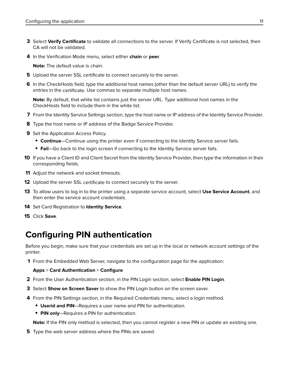- <span id="page-10-0"></span>**3** Select **Verify Certificate** to validate all connections to the server. If Verify Certificate is not selected, then CA will not be validated.
- **4** In the Verification Mode menu, select either **chain** or **peer**.

**Note:** The default value is chain.

- **5** Upload the server SSL certificate to connect securely to the server.
- **6** In the CheckHosts field, type the additional host names (other than the default server URL) to verify the entries in the certificate. Use commas to separate multiple host names.

**Note:** By default, that white list contains just the server URL. Type additional host names in the CheckHosts field to include them in the white list.

- **7** From the Identity Service Settings section, type the host name or IP address of the Identity Service Provider.
- **8** Type the host name or IP address of the Badge Service Provider.
- **9** Set the Application Access Policy.
	- **• Continue**—Continue using the printer even if connecting to the Identity Service server fails.
	- **• Fail**—Go back to the login screen if connecting to the Identity Service server fails.
- **10** If you have a Client ID and Client Secret from the Identity Service Provider, then type the information in their corresponding fields.
- **11** Adjust the network and socket timeouts.
- **12** Upload the server SSL certificate to connect securely to the server.
- **13** To allow users to log in to the printer using a separate service account, select **Use Service Account**, and then enter the service account credentials.
- **14** Set Card Registration to **Identity Service**.
- **15** Click **Save**.

## **Configuring PIN authentication**

Before you begin, make sure that your credentials are set up in the local or network account settings of the printer.

**1** From the Embedded Web Server, navigate to the configuration page for the application:

#### **Apps** > **Card Authentication** > **Configure**

- **2** From the User Authentication section, in the PIN Login section, select **Enable PIN Login**.
- **3** Select **Show on Screen Saver** to show the PIN Login button on the screen saver.
- **4** From the PIN Settings section, in the Required Credentials menu, select a login method.
	- **• Userid and PIN**—Requires a user name and PIN for authentication.
	- **• PIN only**—Requires a PIN for authentication.

**Note:** If the PIN only method is selected, then you cannot register a new PIN or update an existing one.

**5** Type the web server address where the PINs are saved.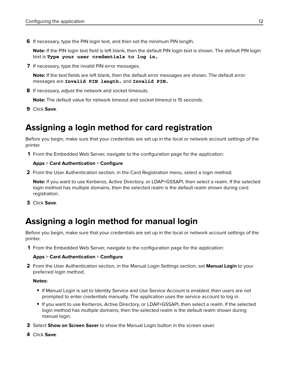<span id="page-11-0"></span>**6** If necessary, type the PIN login text, and then set the minimum PIN length.

**Note:** If the PIN login text field is left blank, then the default PIN login text is shown. The default PIN login text is **Type your user credentials to log in.**

**7** If necessary, type the invalid PIN error messages.

**Note:** If the text fields are left blank, then the default error messages are shown. The default error messages are **Invalid PIN length.** and **Invalid PIN.**

**8** If necessary, adjust the network and socket timeouts.

**Note:** The default value for network timeout and socket timeout is 15 seconds.

**9** Click **Save**.

# **Assigning a login method for card registration**

Before you begin, make sure that your credentials are set up in the local or network account settings of the printer.

**1** From the Embedded Web Server, navigate to the configuration page for the application:

#### **Apps** > **Card Authentication** > **Configure**

**2** From the User Authentication section, in the Card Registration menu, select a login method.

**Note:** If you want to use Kerberos, Active Directory, or LDAP+GSSAPI, then select a realm. If the selected login method has multiple domains, then the selected realm is the default realm shown during card registration.

**3** Click **Save**.

# **Assigning a login method for manual login**

Before you begin, make sure that your credentials are set up in the local or network account settings of the printer.

**1** From the Embedded Web Server, navigate to the configuration page for the application:

#### **Apps** > **Card Authentication** > **Configure**

**2** From the User Authentication section, in the Manual Login Settings section, set **Manual Login** to your preferred login method.

#### **Notes:**

- **•** If Manual Login is set to Identity Service and Use Service Account is enabled, then users are not prompted to enter credentials manually. The application uses the service account to log in.
- **•** If you want to use Kerberos, Active Directory, or LDAP+GSSAPI, then select a realm. If the selected login method has multiple domains, then the selected realm is the default realm shown during manual login.
- **3** Select **Show on Screen Saver** to show the Manual Login button in the screen saver.
- **4** Click **Save**.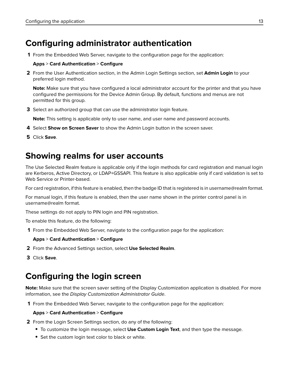# <span id="page-12-0"></span>**Configuring administrator authentication**

**1** From the Embedded Web Server, navigate to the configuration page for the application:

#### **Apps** > **Card Authentication** > **Configure**

**2** From the User Authentication section, in the Admin Login Settings section, set **Admin Login** to your preferred login method.

**Note:** Make sure that you have configured a local administrator account for the printer and that you have configured the permissions for the Device Admin Group. By default, functions and menus are not permitted for this group.

**3** Select an authorized group that can use the administrator login feature.

**Note:** This setting is applicable only to user name, and user name and password accounts.

- **4** Select **Show on Screen Saver** to show the Admin Login button in the screen saver.
- **5** Click **Save**.

## **Showing realms for user accounts**

The Use Selected Realm feature is applicable only if the login methods for card registration and manual login are Kerberos, Active Directory, or LDAP+GSSAPI. This feature is also applicable only if card validation is set to Web Service or Printer-based.

For card registration, if this feature is enabled, then the badge ID that is registered is in username@realm format.

For manual login, if this feature is enabled, then the user name shown in the printer control panel is in username@realm format.

These settings do not apply to PIN login and PIN registration.

To enable this feature, do the following:

**1** From the Embedded Web Server, navigate to the configuration page for the application:

### **Apps** > **Card Authentication** > **Configure**

- **2** From the Advanced Settings section, select **Use Selected Realm**.
- **3** Click **Save**.

# **Configuring the login screen**

**Note:** Make sure that the screen saver setting of the Display Customization application is disabled. For more information, see the Display Customization Administrator Guide.

**1** From the Embedded Web Server, navigate to the configuration page for the application:

#### **Apps** > **Card Authentication** > **Configure**

- **2** From the Login Screen Settings section, do any of the following:
	- **•** To customize the login message, select **Use Custom Login Text**, and then type the message.
	- **•** Set the custom login text color to black or white.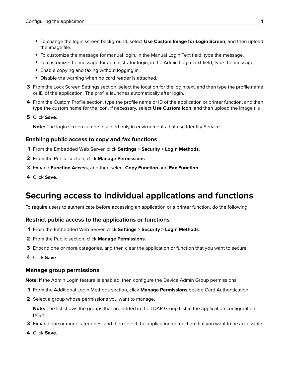- <span id="page-13-0"></span>**•** To change the login screen background, select **Use Custom Image for Login Screen**, and then upload the image file.
- **•** To customize the message for manual login, in the Manual Login Text field, type the message.
- **•** To customize the message for administrator login, in the Admin Login Text field, type the message.
- **•** Enable copying and faxing without logging in.
- **•** Disable the warning when no card reader is attached.
- **3** From the Lock Screen Settings section, select the location for the login text, and then type the profile name or ID of the application. The profile launches automatically after login.
- **4** From the Custom Profile section, type the profile name or ID of the application or printer function, and then type the custom name for the icon. If necessary, select **Use Custom Icon**, and then upload the image file.
- **5** Click **Save**.

**Note:** The login screen can be disabled only in environments that use Identity Service.

### **Enabling public access to copy and fax functions**

- **1** From the Embedded Web Server, click **Settings** > **Security** > **Login Methods**.
- **2** From the Public section, click **Manage Permissions**.
- **3** Expand **Function Access**, and then select **Copy Function** and **Fax Function**.
- **4** Click **Save**.

# **Securing access to individual applications and functions**

To require users to authenticate before accessing an application or a printer function, do the following:

### **Restrict public access to the applications or functions**

- **1** From the Embedded Web Server, click **Settings** > **Security** > **Login Methods**.
- **2** From the Public section, click **Manage Permissions**.
- **3** Expand one or more categories, and then clear the application or function that you want to secure.
- **4** Click **Save**.

### **Manage group permissions**

**Note:** If the Admin Login feature is enabled, then configure the Device Admin Group permissions.

- **1** From the Additional Login Methods section, click **Manage Permissions** beside Card Authentication.
- **2** Select a group whose permissions you want to manage.

**Note:** The list shows the groups that are added in the LDAP Group List in the application configuration page.

- **3** Expand one or more categories, and then select the application or function that you want to be accessible.
- **4** Click **Save**.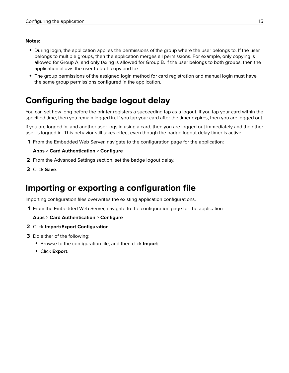#### <span id="page-14-0"></span>**Notes:**

- **•** During login, the application applies the permissions of the group where the user belongs to. If the user belongs to multiple groups, then the application merges all permissions. For example, only copying is allowed for Group A, and only faxing is allowed for Group B. If the user belongs to both groups, then the application allows the user to both copy and fax.
- **•** The group permissions of the assigned login method for card registration and manual login must have the same group permissions configured in the application.

## **Configuring the badge logout delay**

You can set how long before the printer registers a succeeding tap as a logout. If you tap your card within the specified time, then you remain logged in. If you tap your card after the timer expires, then you are logged out.

If you are logged in, and another user logs in using a card, then you are logged out immediately and the other user is logged in. This behavior still takes effect even though the badge logout delay timer is active.

**1** From the Embedded Web Server, navigate to the configuration page for the application:

#### **Apps** > **Card Authentication** > **Configure**

- **2** From the Advanced Settings section, set the badge logout delay.
- **3** Click **Save**.

## **Importing or exporting a configuration file**

Importing configuration files overwrites the existing application configurations.

**1** From the Embedded Web Server, navigate to the configuration page for the application:

**Apps** > **Card Authentication** > **Configure**

- **2** Click **Import/Export Configuration**.
- **3** Do either of the following:
	- **•** Browse to the configuration file, and then click **Import**.
	- **•** Click **Export**.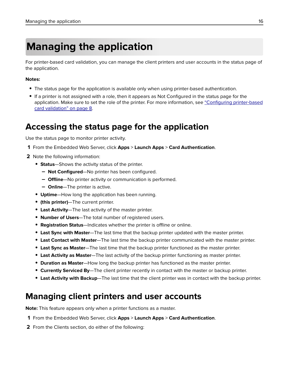# <span id="page-15-0"></span>**Managing the application**

For printer-based card validation, you can manage the client printers and user accounts in the status page of the application.

#### **Notes:**

- **•** The status page for the application is available only when using printer-based authentication.
- **•** If a printer is not assigned with a role, then it appears as Not Configured in the status page for the application. Make sure to set the role of the printer. For more information, see ["Configuring printer](#page-7-0)-based [card validation" on page 8.](#page-7-0)

## **Accessing the status page for the application**

Use the status page to monitor printer activity.

- **1** From the Embedded Web Server, click **Apps** > **Launch Apps** > **Card Authentication**.
- **2** Note the following information:
	- **• Status**—Shows the activity status of the printer.
		- **– Not Configured**—No printer has been configured.
		- **– Offline**—No printer activity or communication is performed.
		- **– Online**—The printer is active.
	- **• Uptime**—How long the application has been running.
	- **• (this printer)**—The current printer.
	- **• Last Activity**—The last activity of the master printer.
	- **• Number of Users**—The total number of registered users.
	- **• Registration Status**—Indicates whether the printer is offline or online.
	- **• Last Sync with Master**—The last time that the backup printer updated with the master printer.
	- **• Last Contact with Master**—The last time the backup printer communicated with the master printer.
	- **• Last Sync as Master**—The last time that the backup printer functioned as the master printer.
	- **• Last Activity as Master**—The last activity of the backup printer functioning as master printer.
	- **• Duration as Master**—How long the backup printer has functioned as the master printer.
	- **• Currently Serviced By**—The client printer recently in contact with the master or backup printer.
	- **• Last Activity with Backup**—The last time that the client printer was in contact with the backup printer.

## **Managing client printers and user accounts**

**Note:** This feature appears only when a printer functions as a master.

- **1** From the Embedded Web Server, click **Apps** > **Launch Apps** > **Card Authentication**.
- **2** From the Clients section, do either of the following: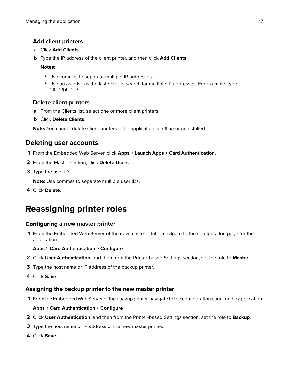### <span id="page-16-0"></span>**Add client printers**

- **a** Click **Add Clients**.
- **b** Type the IP address of the client printer, and then click **Add Clients**.

#### **Notes:**

- **•** Use commas to separate multiple IP addresses.
- **•** Use an asterisk as the last octet to search for multiple IP addresses. For example, type **10.194.1.\***.

### **Delete client printers**

- **a** From the Clients list, select one or more client printers.
- **b** Click **Delete Clients**.

**Note:** You cannot delete client printers if the application is offline or uninstalled.

### **Deleting user accounts**

- **1** From the Embedded Web Server, click **Apps** > **Launch Apps** > **Card Authentication**.
- **2** From the Master section, click **Delete Users**.
- **3** Type the user ID.

**Note:** Use commas to separate multiple user IDs.

**4** Click **Delete**.

# **Reassigning printer roles**

### **Configuring a new master printer**

**1** From the Embedded Web Server of the new master printer, navigate to the configuration page for the application:

#### **Apps** > **Card Authentication** > **Configure**

- **2** Click **User Authentication**, and then from the Printer‑based Settings section, set the role to **Master**.
- **3** Type the host name or IP address of the backup printer.
- **4** Click **Save**.

### **Assigning the backup printer to the new master printer**

**1** From the Embedded Web Server of the backup printer, navigate to the configuration page for the application:

### **Apps** > **Card Authentication** > **Configure**

- **2** Click **User Authentication**, and then from the Printer‑based Settings section, set the role to **Backup**.
- **3** Type the host name or IP address of the new master printer.
- **4** Click **Save**.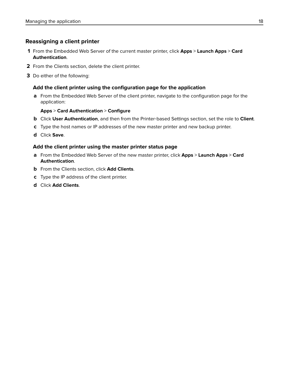### **Reassigning a client printer**

- **1** From the Embedded Web Server of the current master printer, click **Apps** > **Launch Apps** > **Card Authentication**.
- **2** From the Clients section, delete the client printer.
- **3** Do either of the following:

### **Add the client printer using the configuration page for the application**

**a** From the Embedded Web Server of the client printer, navigate to the configuration page for the application:

#### **Apps** > **Card Authentication** > **Configure**

- **b** Click **User Authentication**, and then from the Printer‑based Settings section, set the role to **Client**.
- **c** Type the host names or IP addresses of the new master printer and new backup printer.
- **d** Click **Save**.

#### **Add the client printer using the master printer status page**

- **a** From the Embedded Web Server of the new master printer, click **Apps** > **Launch Apps** > **Card Authentication**.
- **b** From the Clients section, click **Add Clients**.
- **c** Type the IP address of the client printer.
- **d** Click **Add Clients**.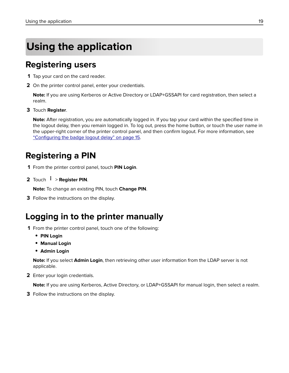# <span id="page-18-0"></span>**Using the application**

## **Registering users**

- **1** Tap your card on the card reader.
- **2** On the printer control panel, enter your credentials.

**Note:** If you are using Kerberos or Active Directory or LDAP+GSSAPI for card registration, then select a realm.

**3** Touch **Register**.

**Note:** After registration, you are automatically logged in. If you tap your card within the specified time in the logout delay, then you remain logged in. To log out, press the home button, or touch the user name in the upper‑right corner of the printer control panel, and then confirm logout. For more information, see ["Configuring the badge logout delay" on page 15.](#page-14-0)

# **Registering a PIN**

- **1** From the printer control panel, touch **PIN Login**.
- **2** Touch > **Register PIN**.

**Note:** To change an existing PIN, touch **Change PIN**.

**3** Follow the instructions on the display.

# **Logging in to the printer manually**

- **1** From the printer control panel, touch one of the following:
	- **• PIN Login**
	- **• Manual Login**
	- **• Admin Login**

**Note:** If you select **Admin Login**, then retrieving other user information from the LDAP server is not applicable.

**2** Enter your login credentials.

**Note:** If you are using Kerberos, Active Directory, or LDAP+GSSAPI for manual login, then select a realm.

**3** Follow the instructions on the display.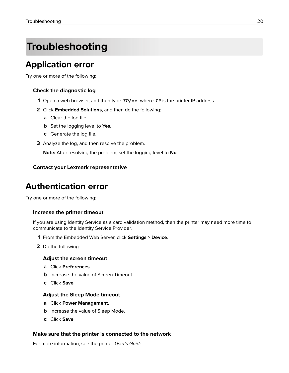# <span id="page-19-0"></span>**Troubleshooting**

# **Application error**

Try one or more of the following:

### **Check the diagnostic log**

- **1** Open a web browser, and then type *IP***/se**, where *IP* is the printer IP address.
- **2** Click **Embedded Solutions**, and then do the following:
	- **a** Clear the log file.
	- **b** Set the logging level to **Yes**.
	- **c** Generate the log file.
- **3** Analyze the log, and then resolve the problem.

**Note:** After resolving the problem, set the logging level to **No**.

### **Contact your Lexmark representative**

# **Authentication error**

Try one or more of the following:

### **Increase the printer timeout**

If you are using Identity Service as a card validation method, then the printer may need more time to communicate to the Identity Service Provider.

- **1** From the Embedded Web Server, click **Settings** > **Device**.
- **2** Do the following:

#### **Adjust the screen timeout**

- **a** Click **Preferences**.
- **b** Increase the value of Screen Timeout.
- **c** Click **Save**.

#### **Adjust the Sleep Mode timeout**

- **a** Click **Power Management**.
- **b** Increase the value of Sleep Mode.
- **c** Click **Save**.

#### **Make sure that the printer is connected to the network**

For more information, see the printer User's Guide.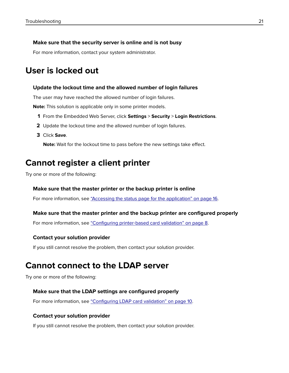#### <span id="page-20-0"></span>**Make sure that the security server is online and is not busy**

For more information, contact your system administrator.

### **User is locked out**

#### **Update the lockout time and the allowed number of login failures**

The user may have reached the allowed number of login failures.

**Note:** This solution is applicable only in some printer models.

- **1** From the Embedded Web Server, click **Settings** > **Security** > **Login Restrictions**.
- **2** Update the lockout time and the allowed number of login failures.
- **3** Click **Save**.

**Note:** Wait for the lockout time to pass before the new settings take effect.

### **Cannot register a client printer**

Try one or more of the following:

#### **Make sure that the master printer or the backup printer is online**

For more information, see ["Accessing the status page for the application" on page 16](#page-15-0).

#### **Make sure that the master printer and the backup printer are configured properly**

For more information, see "Configuring printer-[based card validation" on page 8](#page-7-0).

#### **Contact your solution provider**

If you still cannot resolve the problem, then contact your solution provider.

### **Cannot connect to the LDAP server**

Try one or more of the following:

#### **Make sure that the LDAP settings are configured properly**

For more information, see ["Configuring LDAP card validation" on page 10](#page-9-0).

#### **Contact your solution provider**

If you still cannot resolve the problem, then contact your solution provider.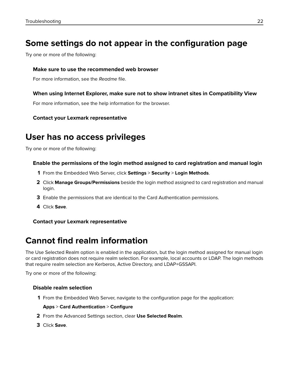# <span id="page-21-0"></span>**Some settings do not appear in the configuration page**

Try one or more of the following:

### **Make sure to use the recommended web browser**

For more information, see the Readme file.

### **When using Internet Explorer, make sure not to show intranet sites in Compatibility View**

For more information, see the help information for the browser.

### **Contact your Lexmark representative**

# **User has no access privileges**

Try one or more of the following:

### **Enable the permissions of the login method assigned to card registration and manual login**

- **1** From the Embedded Web Server, click **Settings** > **Security** > **Login Methods**.
- **2** Click **Manage Groups/Permissions** beside the login method assigned to card registration and manual login.
- **3** Enable the permissions that are identical to the Card Authentication permissions.
- **4** Click **Save**.

### **Contact your Lexmark representative**

# **Cannot find realm information**

The Use Selected Realm option is enabled in the application, but the login method assigned for manual login or card registration does not require realm selection. For example, local accounts or LDAP. The login methods that require realm selection are Kerberos, Active Directory, and LDAP+GSSAPI.

Try one or more of the following:

### **Disable realm selection**

**1** From the Embedded Web Server, navigate to the configuration page for the application:

### **Apps** > **Card Authentication** > **Configure**

- **2** From the Advanced Settings section, clear **Use Selected Realm**.
- **3** Click **Save**.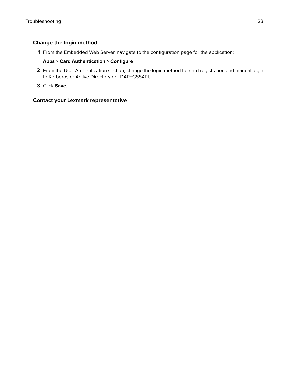### **Change the login method**

**1** From the Embedded Web Server, navigate to the configuration page for the application:

#### **Apps** > **Card Authentication** > **Configure**

- **2** From the User Authentication section, change the login method for card registration and manual login to Kerberos or Active Directory or LDAP+GSSAPI.
- **3** Click **Save**.

#### **Contact your Lexmark representative**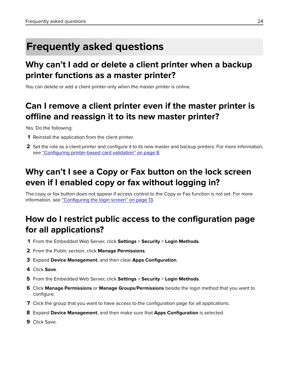# <span id="page-23-0"></span>**Frequently asked questions**

# **Why can't I add or delete a client printer when a backup printer functions as a master printer?**

You can delete or add a client printer only when the master printer is online.

# **Can I remove a client printer even if the master printer is offline and reassign it to its new master printer?**

Yes. Do the following:

- **1** Reinstall the application from the client printer.
- **2** Set the role as a client printer and configure it to its new master and backup printers. For more information, see "Configuring printer-[based card validation" on page 8.](#page-7-0)

# **Why can't I see a Copy or Fax button on the lock screen even if I enabled copy or fax without logging in?**

The copy or fax button does not appear if access control to the Copy or Fax function is not set. For more information, see ["Configuring the login screen" on page 13](#page-12-0).

# **How do I restrict public access to the configuration page for all applications?**

- **1** From the Embedded Web Server, click **Settings** > **Security** > **Login Methods**.
- **2** From the Public section, click **Manage Permissions**.
- **3** Expand **Device Management**, and then clear **Apps Configuration**.
- **4** Click **Save**.
- **5** From the Embedded Web Server, click **Settings** > **Security** > **Login Methods**.
- **6** Click **Manage Permissions** or **Manage Groups/Permissions** beside the login method that you want to configure.
- **7** Click the group that you want to have access to the configuration page for all applications.
- **8** Expand **Device Management**, and then make sure that **Apps Configuration** is selected.
- **9** Click Save.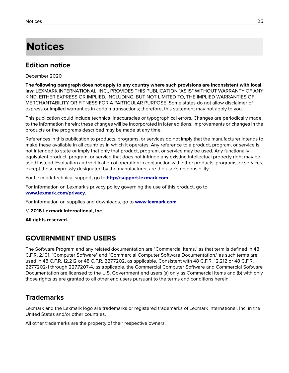# <span id="page-24-0"></span>**Notices**

### **Edition notice**

December 2020

**The following paragraph does not apply to any country where such provisions are inconsistent with local law:** LEXMARK INTERNATIONAL, INC., PROVIDES THIS PUBLICATION "AS IS" WITHOUT WARRANTY OF ANY KIND, EITHER EXPRESS OR IMPLIED, INCLUDING, BUT NOT LIMITED TO, THE IMPLIED WARRANTIES OF MERCHANTABILITY OR FITNESS FOR A PARTICULAR PURPOSE. Some states do not allow disclaimer of express or implied warranties in certain transactions; therefore, this statement may not apply to you.

This publication could include technical inaccuracies or typographical errors. Changes are periodically made to the information herein; these changes will be incorporated in later editions. Improvements or changes in the products or the programs described may be made at any time.

References in this publication to products, programs, or services do not imply that the manufacturer intends to make these available in all countries in which it operates. Any reference to a product, program, or service is not intended to state or imply that only that product, program, or service may be used. Any functionally equivalent product, program, or service that does not infringe any existing intellectual property right may be used instead. Evaluation and verification of operation in conjunction with other products, programs, or services, except those expressly designated by the manufacturer, are the user's responsibility.

For Lexmark technical support, go to **<http://support.lexmark.com>**.

For information on Lexmark's privacy policy governing the use of this product, go to **[www.lexmark.com/privacy](http://www.lexmark.com/privacy)**.

For information on supplies and downloads, go to **[www.lexmark.com](http://www.lexmark.com)**.

**© 2016 Lexmark International, Inc.**

**All rights reserved.**

### **GOVERNMENT END USERS**

The Software Program and any related documentation are "Commercial Items," as that term is defined in 48 C.F.R. 2.101, "Computer Software" and "Commercial Computer Software Documentation," as such terms are used in 48 C.F.R. 12.212 or 48 C.F.R. 227.7202, as applicable. Consistent with 48 C.F.R. 12.212 or 48 C.F.R. 227.7202-1 through 227.7207-4, as applicable, the Commercial Computer Software and Commercial Software Documentation are licensed to the U.S. Government end users (a) only as Commercial Items and (b) with only those rights as are granted to all other end users pursuant to the terms and conditions herein.

### **Trademarks**

Lexmark and the Lexmark logo are trademarks or registered trademarks of Lexmark International, Inc. in the United States and/or other countries.

All other trademarks are the property of their respective owners.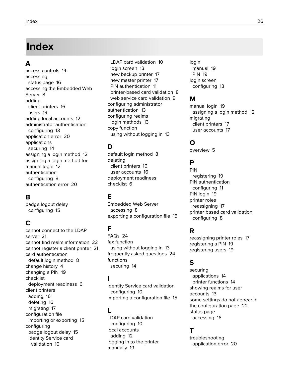# <span id="page-25-0"></span>**Index**

### **A**

access controls [14](#page-13-0) accessing status page [16](#page-15-0) accessing the Embedded Web Server [8](#page-7-0) adding client printers [16](#page-15-0) users [19](#page-18-0) adding local accounts [12](#page-11-0) administrator authentication configuring [13](#page-12-0) application error [20](#page-19-0) applications securing [14](#page-13-0) assigning a login method [12](#page-11-0) assigning a login method for manual login [12](#page-11-0) authentication configuring [8](#page-7-0) authentication error [20](#page-19-0)

### **B**

badge logout delay configuring [15](#page-14-0)

### **C**

cannot connect to the LDAP server [21](#page-20-0) cannot find realm information [22](#page-21-0) cannot register a client printer [21](#page-20-0) card authentication default login method [8](#page-7-0) change history [4](#page-3-0) changing a PIN [19](#page-18-0) checklist deployment readiness [6](#page-5-0) client printers adding [16](#page-15-0) deleting [16](#page-15-0) migrating [17](#page-16-0) configuration file importing or exporting [15](#page-14-0) configuring badge logout delay [15](#page-14-0) Identity Service card validation [10](#page-9-0)

LDAP card validation [10](#page-9-0) login screen [13](#page-12-0) new backup printer [17](#page-16-0) new master printer [17](#page-16-0) PIN authentication [11](#page-10-0) printer‑based card validation [8](#page-7-0) web service card validation [9](#page-8-0) configuring administrator authentication [13](#page-12-0) configuring realms login methods [13](#page-12-0) copy function using without logging in [13](#page-12-0)

### **D**

default login method [8](#page-7-0) deleting client printers [16](#page-15-0) user accounts [16](#page-15-0) deployment readiness checklist [6](#page-5-0)

### **E**

Embedded Web Server accessing [8](#page-7-0) exporting a configuration file [15](#page-14-0)

### **F**

FAQs [24](#page-23-0) fax function using without logging in [13](#page-12-0) frequently asked questions [24](#page-23-0) functions securing [14](#page-13-0)

### **I**

Identity Service card validation configuring [10](#page-9-0) importing a configuration file [15](#page-14-0)

### **L**

LDAP card validation configuring [10](#page-9-0) local accounts adding [12](#page-11-0) logging in to the printer manually [19](#page-18-0)

login manual [19](#page-18-0) PIN [19](#page-18-0) login screen configuring [13](#page-12-0)

### **M**

manual login [19](#page-18-0) assigning a login method [12](#page-11-0) migrating client printers [17](#page-16-0) user accounts [17](#page-16-0)

### **O**

overview [5](#page-4-0)

### **P**

PIN registering [19](#page-18-0) PIN authentication configuring [11](#page-10-0) PIN login [19](#page-18-0) printer roles reassigning [17](#page-16-0) printer‑based card validation configuring [8](#page-7-0)

### **R**

reassigning printer roles [17](#page-16-0) registering a PIN [19](#page-18-0) registering users [19](#page-18-0)

### **S**

securing applications [14](#page-13-0) printer functions [14](#page-13-0) showing realms for user accounts [13](#page-12-0) some settings do not appear in the configuration page [22](#page-21-0) status page accessing [16](#page-15-0)

### **T**

troubleshooting application error [20](#page-19-0)